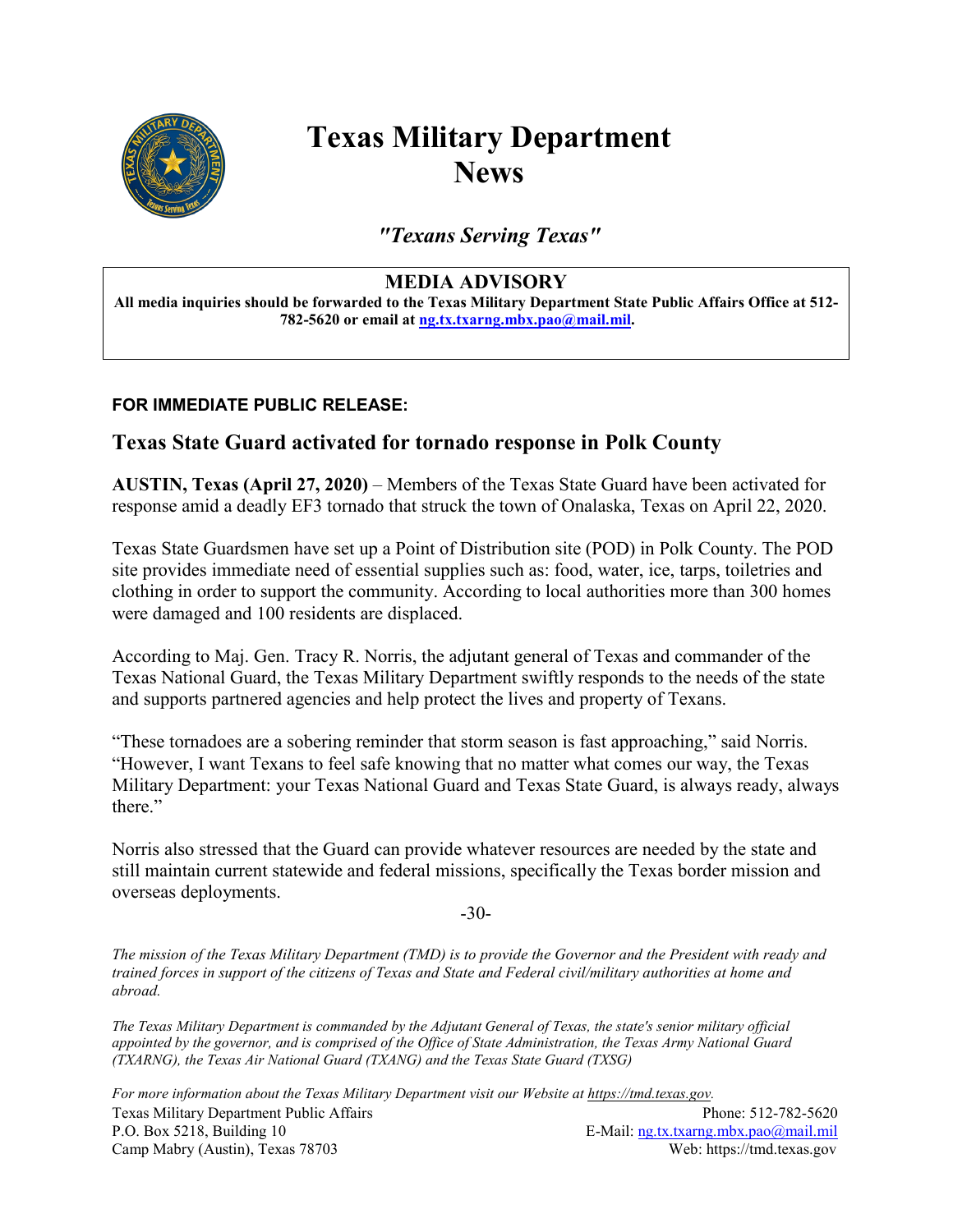

## **Texas Military Department News**

*"Texans Serving Texas"*

## **MEDIA ADVISORY**

**All media inquiries should be forwarded to the Texas Military Department State Public Affairs Office at 512- 782-5620 or email at [ng.tx.txarng.mbx.pao@mail.mil.](mailto:ng.tx.txarng.mbx.pao@mail.mil)**

## **FOR IMMEDIATE PUBLIC RELEASE:**

## **Texas State Guard activated for tornado response in Polk County**

**AUSTIN, Texas (April 27, 2020)** – Members of the Texas State Guard have been activated for response amid a deadly EF3 tornado that struck the town of Onalaska, Texas on April 22, 2020.

Texas State Guardsmen have set up a Point of Distribution site (POD) in Polk County. The POD site provides immediate need of essential supplies such as: food, water, ice, tarps, toiletries and clothing in order to support the community. According to local authorities more than 300 homes were damaged and 100 residents are displaced.

According to Maj. Gen. Tracy R. Norris, the adjutant general of Texas and commander of the Texas National Guard, the Texas Military Department swiftly responds to the needs of the state and supports partnered agencies and help protect the lives and property of Texans.

"These tornadoes are a sobering reminder that storm season is fast approaching," said Norris. "However, I want Texans to feel safe knowing that no matter what comes our way, the Texas Military Department: your Texas National Guard and Texas State Guard, is always ready, always there."

Norris also stressed that the Guard can provide whatever resources are needed by the state and still maintain current statewide and federal missions, specifically the Texas border mission and overseas deployments.

-30-

*The mission of the Texas Military Department (TMD) is to provide the Governor and the President with ready and trained forces in support of the citizens of Texas and State and Federal civil/military authorities at home and abroad.*

*The Texas Military Department is commanded by the Adjutant General of Texas, the state's senior military official appointed by the governor, and is comprised of the Office of State Administration, the Texas Army National Guard (TXARNG), the Texas Air National Guard (TXANG) and the Texas State Guard (TXSG)* 

Texas Military Department Public Affairs Phone: 512-782-5620 P.O. Box 5218, Building 10 E-Mail: [ng.tx.txarng.mbx.pao@mail.mil](mailto:ng.tx.txarng.mbx.pao@mail.mil) Camp Mabry (Austin), Texas 78703 Web: https://tmd.texas.gov *For more information about the Texas Military Department visit our Website at https://tmd.texas.gov.*